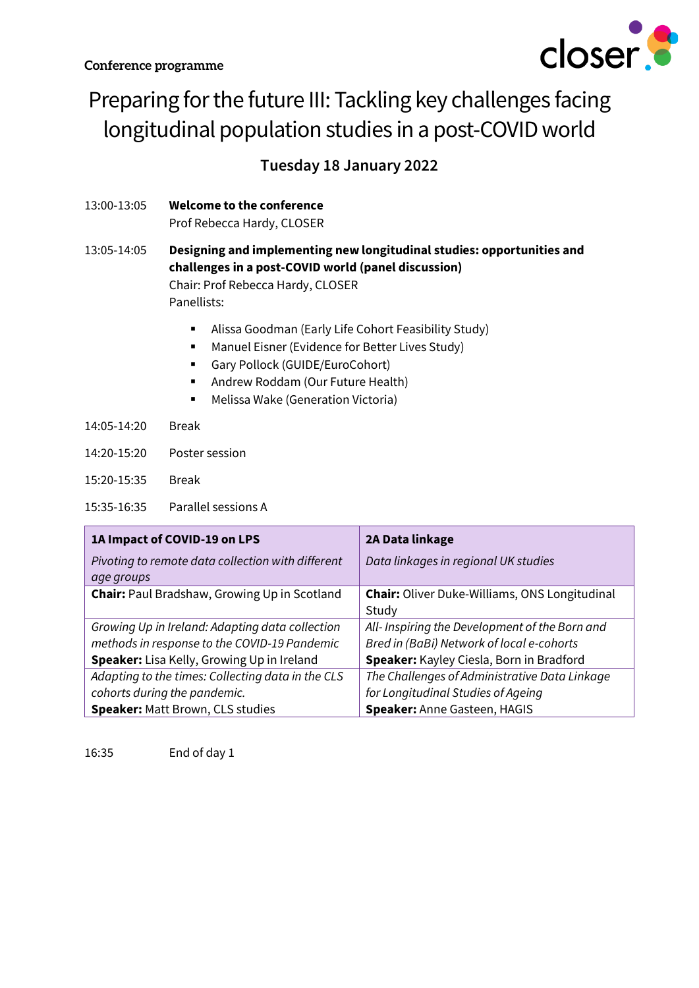

# Preparing for the future III: Tackling key challenges facing longitudinal population studies in a post-COVID world

**Tuesday 18 January 2022**

13:00-13:05 **Welcome to the conference** Prof Rebecca Hardy, CLOSER

#### 13:05-14:05 **Designing and implementing new longitudinal studies: opportunities and challenges in a post-COVID world (panel discussion)** Chair: Prof Rebecca Hardy, CLOSER Panellists:

- Alissa Goodman (Early Life Cohort Feasibility Study)
- Manuel Eisner (Evidence for Better Lives Study)
- Gary Pollock (GUIDE/EuroCohort)
- Andrew Roddam (Our Future Health)
- Melissa Wake (Generation Victoria)
- 14:05-14:20 Break
- 14:20-15:20 Poster session
- 15:20-15:35 Break

15:35-16:35 Parallel sessions A

| 1A Impact of COVID-19 on LPS                        | 2A Data linkage                                      |
|-----------------------------------------------------|------------------------------------------------------|
| Pivoting to remote data collection with different   | Data linkages in regional UK studies                 |
| age groups                                          |                                                      |
| <b>Chair:</b> Paul Bradshaw, Growing Up in Scotland | <b>Chair:</b> Oliver Duke-Williams, ONS Longitudinal |
|                                                     | Study                                                |
| Growing Up in Ireland: Adapting data collection     | All- Inspiring the Development of the Born and       |
| methods in response to the COVID-19 Pandemic        | Bred in (BaBi) Network of local e-cohorts            |
| Speaker: Lisa Kelly, Growing Up in Ireland          | Speaker: Kayley Ciesla, Born in Bradford             |
| Adapting to the times: Collecting data in the CLS   | The Challenges of Administrative Data Linkage        |
| cohorts during the pandemic.                        | for Longitudinal Studies of Ageing                   |
| <b>Speaker: Matt Brown, CLS studies</b>             | Speaker: Anne Gasteen, HAGIS                         |

16:35 End of day 1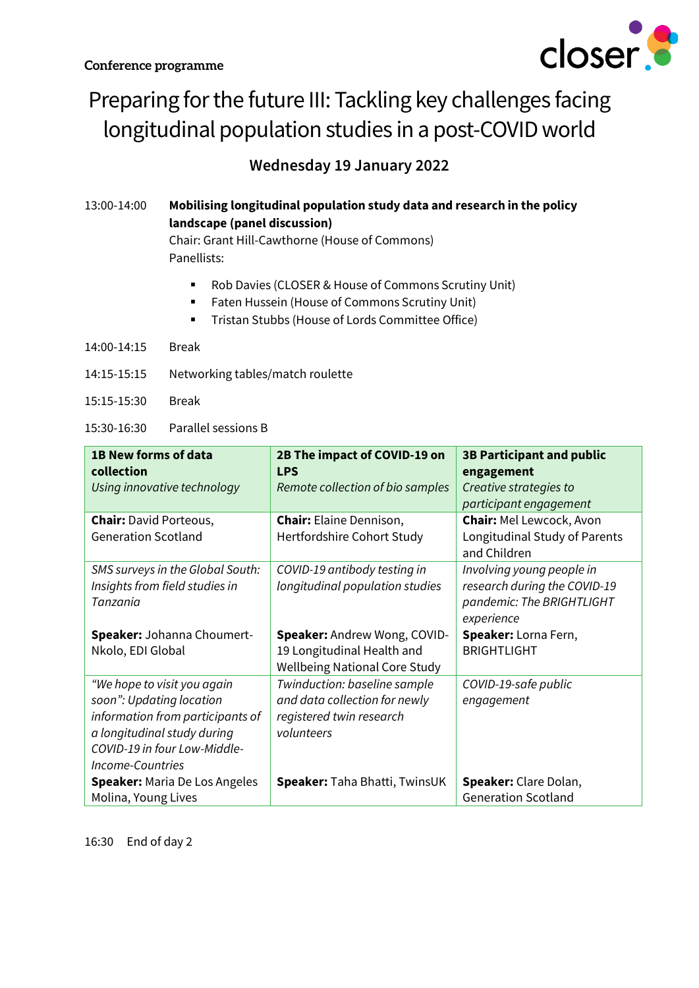

## Preparing for the future III: Tackling key challenges facing longitudinal population studies in a post-COVID world

### **Wednesday 19 January 2022**

### 13:00-14:00 **Mobilising longitudinal population study data and research in the policy landscape (panel discussion)**

Chair: Grant Hill-Cawthorne (House of Commons) Panellists:

- Rob Davies (CLOSER & House of Commons Scrutiny Unit)
- Faten Hussein (House of Commons Scrutiny Unit)
- Tristan Stubbs (House of Lords Committee Office)
- 14:00-14:15 Break
- 14:15-15:15 Networking tables/match roulette
- 15:15-15:30 Break
- 15:30-16:30 Parallel sessions B

| 1B New forms of data<br>collection                                                                                                                                                    | 2B The impact of COVID-19 on<br><b>LPS</b>                                                              | <b>3B Participant and public</b><br>engagement                                                       |
|---------------------------------------------------------------------------------------------------------------------------------------------------------------------------------------|---------------------------------------------------------------------------------------------------------|------------------------------------------------------------------------------------------------------|
| Using innovative technology                                                                                                                                                           | Remote collection of bio samples                                                                        | Creative strategies to<br>participant engagement                                                     |
| <b>Chair: David Porteous,</b><br><b>Generation Scotland</b>                                                                                                                           | <b>Chair:</b> Elaine Dennison,<br>Hertfordshire Cohort Study                                            | <b>Chair: Mel Lewcock, Avon</b><br>Longitudinal Study of Parents<br>and Children                     |
| SMS surveys in the Global South:<br>Insights from field studies in<br>Tanzania                                                                                                        | COVID-19 antibody testing in<br>longitudinal population studies                                         | Involving young people in<br>research during the COVID-19<br>pandemic: The BRIGHTLIGHT<br>experience |
| Speaker: Johanna Choumert-<br>Nkolo, EDI Global                                                                                                                                       | Speaker: Andrew Wong, COVID-<br>19 Longitudinal Health and<br><b>Wellbeing National Core Study</b>      | Speaker: Lorna Fern,<br><b>BRIGHTLIGHT</b>                                                           |
| "We hope to visit you again<br>soon": Updating location<br>information from participants of<br>a longitudinal study during<br>COVID-19 in four Low-Middle-<br><b>Income-Countries</b> | Twinduction: baseline sample<br>and data collection for newly<br>registered twin research<br>volunteers | COVID-19-safe public<br>engagement                                                                   |
| <b>Speaker: Maria De Los Angeles</b><br>Molina, Young Lives                                                                                                                           | Speaker: Taha Bhatti, TwinsUK                                                                           | Speaker: Clare Dolan,<br><b>Generation Scotland</b>                                                  |

16:30 End of day 2